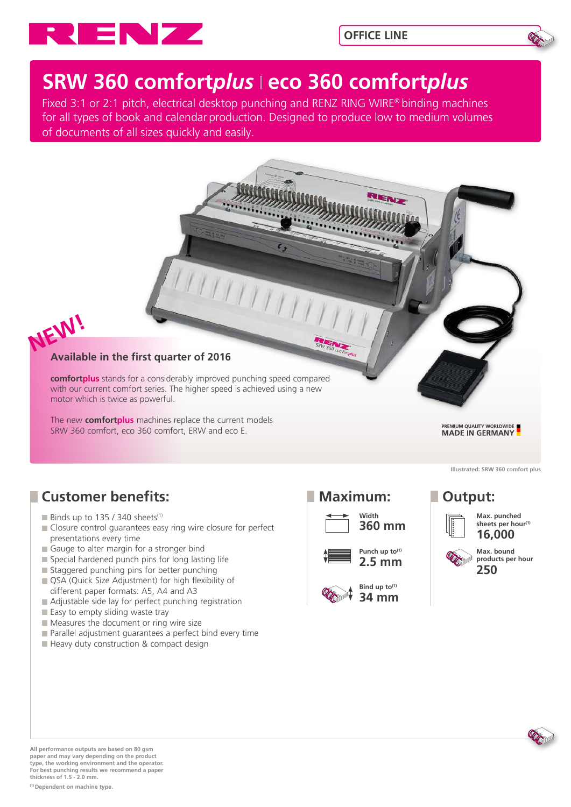

RENZ



# **SRW 360 comfort***plus* **eco 360 comfort***plus*

Fixed 3:1 or 2:1 pitch, electrical desktop punching and RENZ RING WIRE® binding machines for all types of book and calendar production. Designed to produce low to medium volumes of documents of all sizes quickly and easily.



#### **Available in the first quarter of 2016**

**comfortplus** stands for a considerably improved punching speed compared with our current comfort series. The higher speed is achieved using a new motor which is twice as powerful.

The new **comfortplus** machines replace the current models SRW 360 comfort, eco 360 comfort, ERW and eco E.

PREMIUM QUALITY WORLDWIDE

**Illustrated: SRW 360 comfort plus**

## **Customer benefits:**

- Binds up to 135 / 340 sheets<sup>(1)</sup>
- Closure control guarantees easy ring wire closure for perfect presentations every time
- Gauge to alter margin for a stronger bind
- Special hardened punch pins for long lasting life
- Staggered punching pins for better punching
- QSA (Quick Size Adjustment) for high flexibility of different paper formats: A5, A4 and A3
- Adjustable side lay for perfect punching registration
- Easy to empty sliding waste tray
- Measures the document or ring wire size
- **Parallel adjustment guarantees a perfect bind every time**
- Heavy duty construction & compact design









### **Maximum: Output:**



#### **Max. punched**  sheets per hour<sup>(1)</sup> **16,000**



**All performance outputs are based on 80 gsm paper and may vary depending on the product type, the working environment and the operator. For best punching results we recommend a paper thickness of 1.5 - 2.0 mm.**